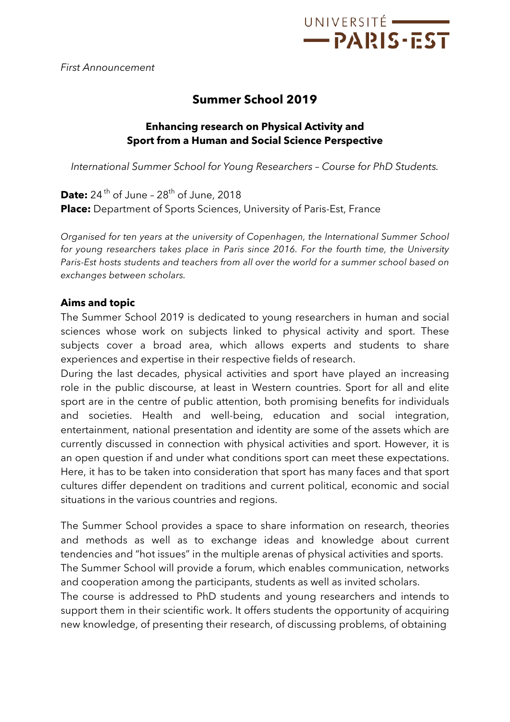

*First Announcement*

## **Summer School 2019**

#### **Enhancing research on Physical Activity and Sport from a Human and Social Science Perspective**

*International Summer School for Young Researchers – Course for PhD Students.*

**Date:** 24<sup>th</sup> of June - 28<sup>th</sup> of June, 2018

**Place:** Department of Sports Sciences, University of Paris-Est, France

*Organised for ten years at the university of Copenhagen, the International Summer School for young researchers takes place in Paris since 2016. For the fourth time, the University Paris-Est hosts students and teachers from all over the world for a summer school based on exchanges between scholars.* 

#### **Aims and topic**

The Summer School 2019 is dedicated to young researchers in human and social sciences whose work on subjects linked to physical activity and sport. These subjects cover a broad area, which allows experts and students to share experiences and expertise in their respective fields of research.

During the last decades, physical activities and sport have played an increasing role in the public discourse, at least in Western countries. Sport for all and elite sport are in the centre of public attention, both promising benefits for individuals and societies. Health and well-being, education and social integration, entertainment, national presentation and identity are some of the assets which are currently discussed in connection with physical activities and sport. However, it is an open question if and under what conditions sport can meet these expectations. Here, it has to be taken into consideration that sport has many faces and that sport cultures differ dependent on traditions and current political, economic and social situations in the various countries and regions.

The Summer School provides a space to share information on research, theories and methods as well as to exchange ideas and knowledge about current tendencies and "hot issues" in the multiple arenas of physical activities and sports. The Summer School will provide a forum, which enables communication, networks and cooperation among the participants, students as well as invited scholars.

The course is addressed to PhD students and young researchers and intends to support them in their scientific work. It offers students the opportunity of acquiring new knowledge, of presenting their research, of discussing problems, of obtaining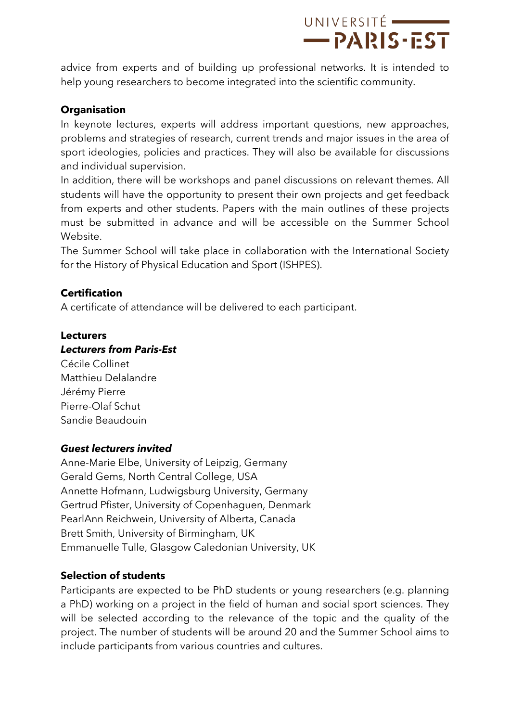# UNIVERSITÉ<sup>-</sup>  $-$  PARIS-EST

advice from experts and of building up professional networks. It is intended to help young researchers to become integrated into the scientific community.

#### **Organisation**

In keynote lectures, experts will address important questions, new approaches, problems and strategies of research, current trends and major issues in the area of sport ideologies, policies and practices. They will also be available for discussions and individual supervision.

In addition, there will be workshops and panel discussions on relevant themes. All students will have the opportunity to present their own projects and get feedback from experts and other students. Papers with the main outlines of these projects must be submitted in advance and will be accessible on the Summer School Website.

The Summer School will take place in collaboration with the International Society for the History of Physical Education and Sport (ISHPES).

## **Certification**

A certificate of attendance will be delivered to each participant.

#### **Lecturers**

#### *Lecturers from Paris-Est*

Cécile Collinet Matthieu Delalandre Jérémy Pierre Pierre-Olaf Schut Sandie Beaudouin

#### *Guest lecturers invited*

Anne-Marie Elbe, University of Leipzig, Germany Gerald Gems, North Central College, USA Annette Hofmann, Ludwigsburg University, Germany Gertrud Pfister, University of Copenhaguen, Denmark PearlAnn Reichwein, University of Alberta, Canada Brett Smith, University of Birmingham, UK Emmanuelle Tulle, Glasgow Caledonian University, UK

#### **Selection of students**

Participants are expected to be PhD students or young researchers (e.g. planning a PhD) working on a project in the field of human and social sport sciences. They will be selected according to the relevance of the topic and the quality of the project. The number of students will be around 20 and the Summer School aims to include participants from various countries and cultures.